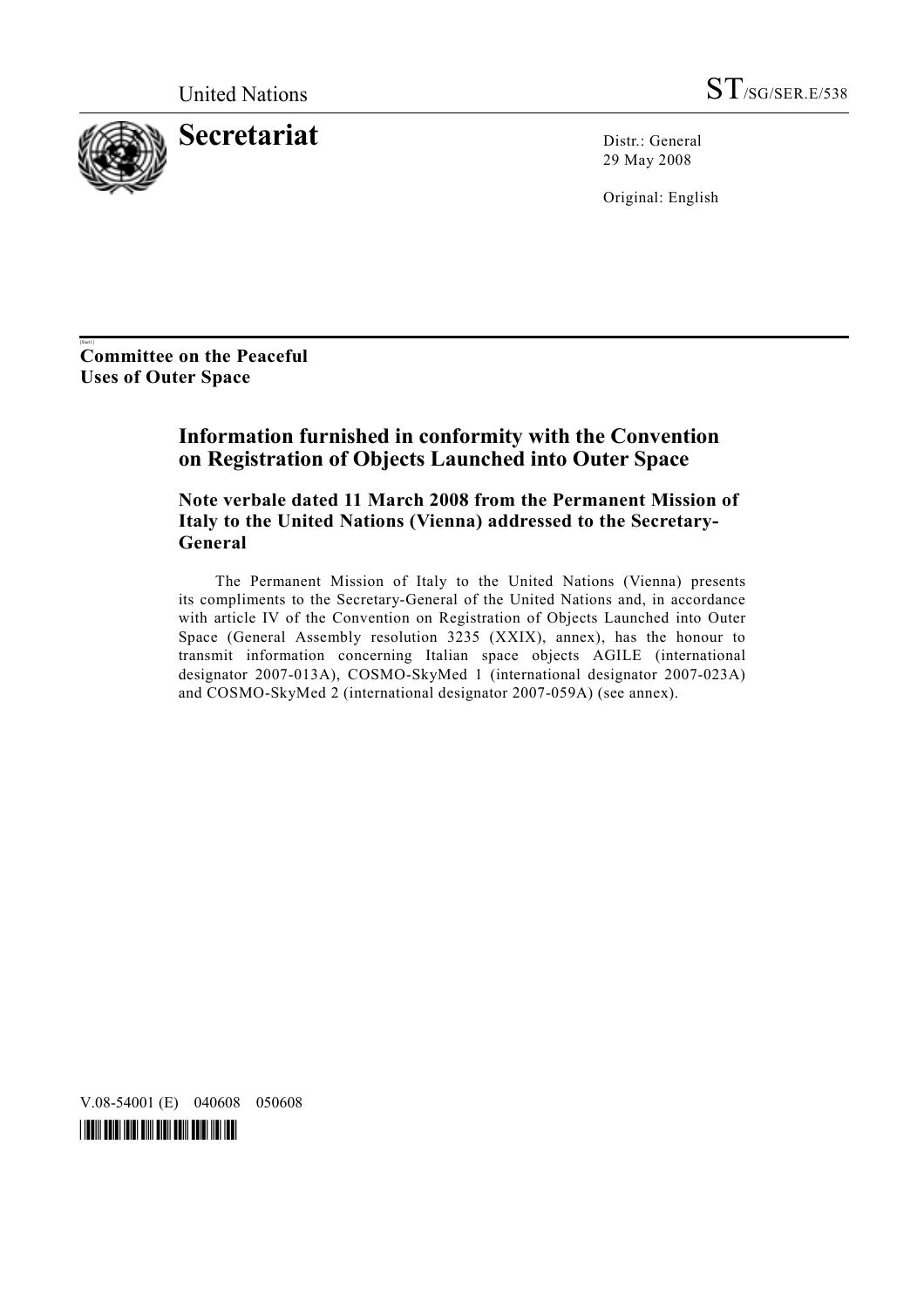

29 May 2008

Original: English

[Start1] **Committee on the Peaceful Uses of Outer Space** 

#### **Information furnished in conformity with the Convention on Registration of Objects Launched into Outer Space**

 **Note verbale dated 11 March 2008 from the Permanent Mission of Italy to the United Nations (Vienna) addressed to the Secretary-General** 

 The Permanent Mission of Italy to the United Nations (Vienna) presents its compliments to the Secretary-General of the United Nations and, in accordance with article IV of the Convention on Registration of Objects Launched into Outer Space (General Assembly resolution 3235 (XXIX), annex), has the honour to transmit information concerning Italian space objects AGILE (international designator 2007-013A), COSMO-SkyMed 1 (international designator 2007-023A) and COSMO-SkyMed 2 (international designator 2007-059A) (see annex).

V.08-54001 (E) 040608 050608

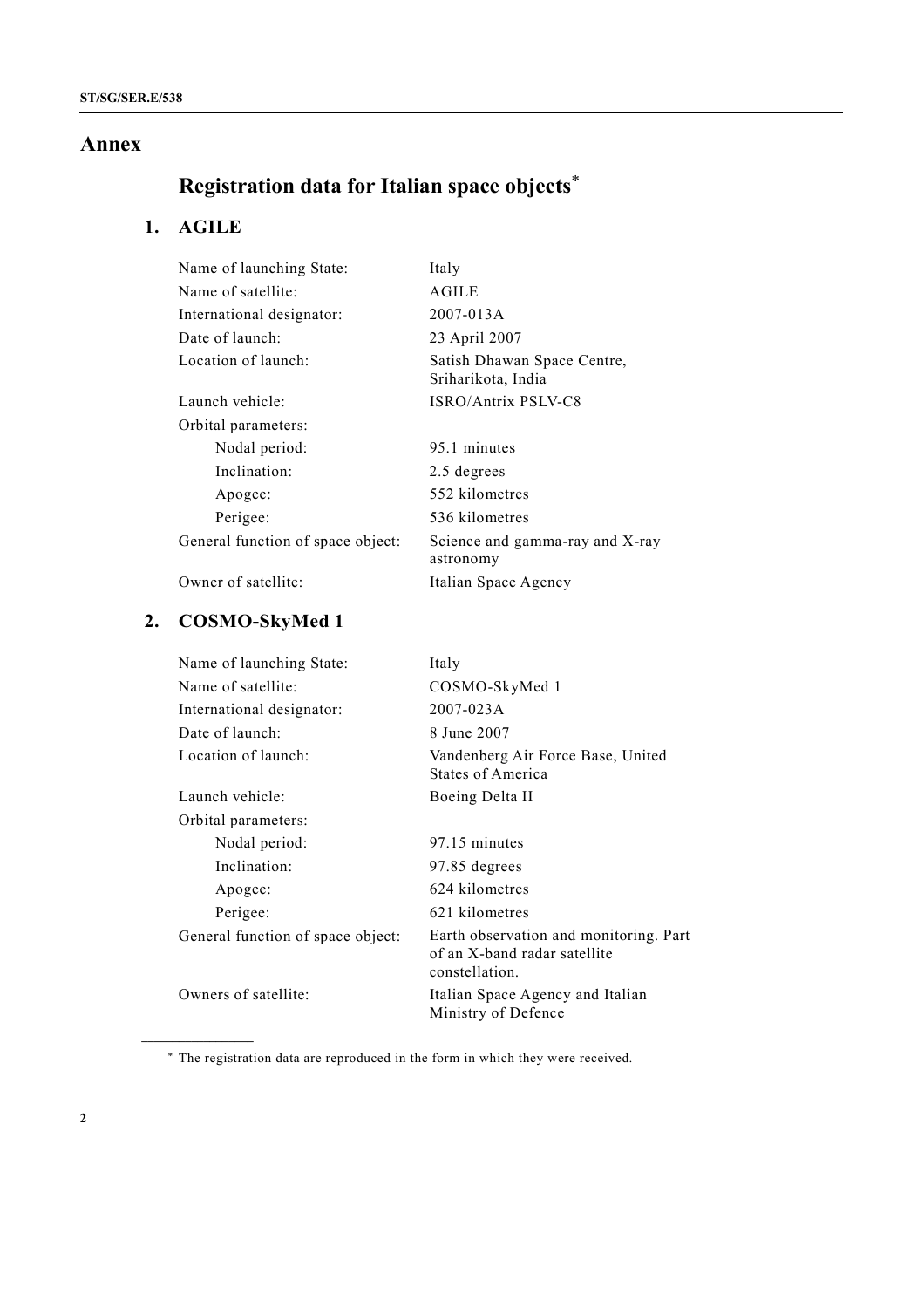#### **Annex**

# **Registration data for Italian space objects**\*

# **1. AGILE**

| Name of launching State:          | Italy                                             |
|-----------------------------------|---------------------------------------------------|
| Name of satellite:                | AGILE                                             |
| International designator:         | 2007-013A                                         |
| Date of launch:                   | 23 April 2007                                     |
| Location of launch:               | Satish Dhawan Space Centre,<br>Sriharikota, India |
| Launch vehicle:                   | ISRO/Antrix PSLV-C8                               |
| Orbital parameters:               |                                                   |
| Nodal period:                     | 95.1 minutes                                      |
| Inclination:                      | 2.5 degrees                                       |
| Apogee:                           | 552 kilometres                                    |
| Perigee:                          | 536 kilometres                                    |
| General function of space object: | Science and gamma-ray and X-ray<br>astronomy      |
| Owner of satellite:               | Italian Space Agency                              |

### **2. COSMO-SkyMed 1**

**\_\_\_\_\_\_\_\_\_\_\_\_\_\_\_\_\_\_** 

| Name of launching State:          | Italy                                                                                    |
|-----------------------------------|------------------------------------------------------------------------------------------|
| Name of satellite:                | COSMO-SkyMed 1                                                                           |
| International designator:         | 2007-023A                                                                                |
| Date of launch:                   | 8 June 2007                                                                              |
| Location of launch:               | Vandenberg Air Force Base, United<br>States of America                                   |
| Launch vehicle:                   | Boeing Delta II                                                                          |
| Orbital parameters:               |                                                                                          |
| Nodal period:                     | 97.15 minutes                                                                            |
| Inclination:                      | 97.85 degrees                                                                            |
| Apogee:                           | 624 kilometres                                                                           |
| Perigee:                          | 621 kilometres                                                                           |
| General function of space object: | Earth observation and monitoring. Part<br>of an X-band radar satellite<br>constellation. |
| Owners of satellite:              | Italian Space Agency and Italian<br>Ministry of Defence                                  |

<sup>\*</sup> The registration data are reproduced in the form in which they were received.